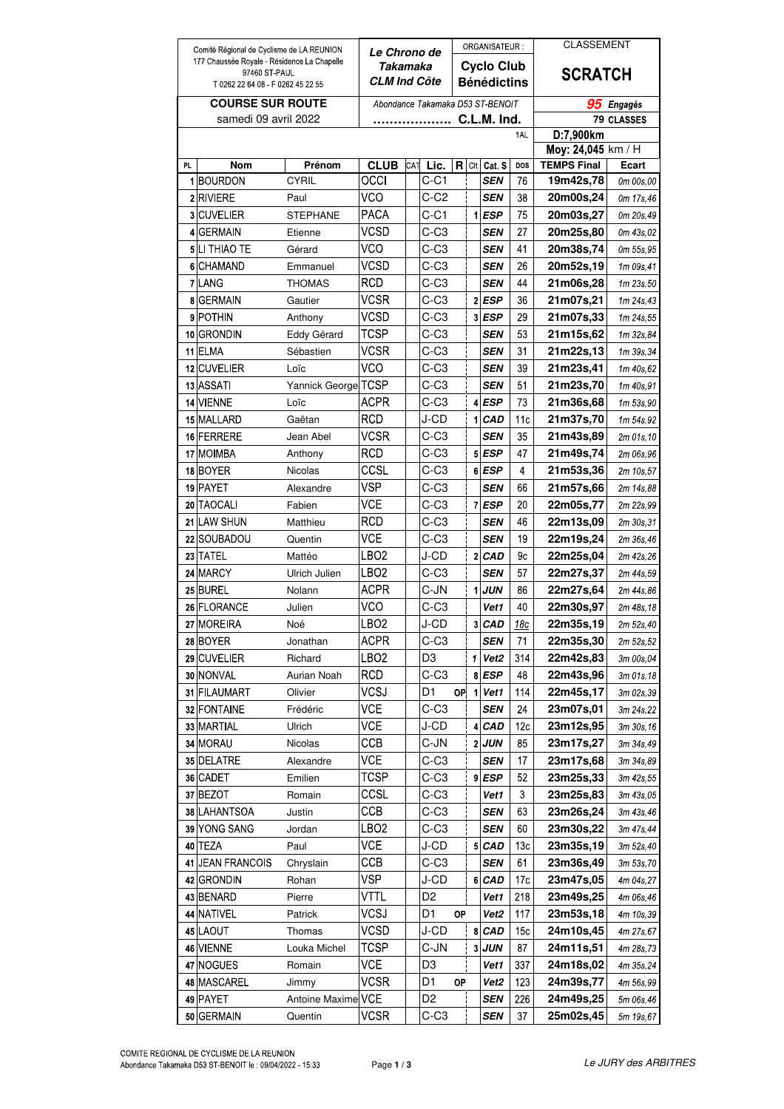| Comité Régional de Cyclisme de LA REUNION                                                       |                                 | <b>Le Chrono de</b>       |                                  |     |                                         |    | ORGANISATEUR:           |                    | <b>CLASSEMENT</b>  |                                           |                         |
|-------------------------------------------------------------------------------------------------|---------------------------------|---------------------------|----------------------------------|-----|-----------------------------------------|----|-------------------------|--------------------|--------------------|-------------------------------------------|-------------------------|
| 177 Chaussée Royale - Résidence La Chapelle<br>97460 ST PAUL<br>T 0262 22 64 08 F 0262 45 22 55 |                                 |                           | Takamaka<br>CLM Ind Côte         |     | <b>Cyclo Club</b><br><b>Bénédictins</b> |    |                         |                    |                    | <b>SCRATCH</b>                            |                         |
| <b>COURSE SUR ROUTE</b>                                                                         |                                 |                           | Abondance Takamaka D53 ST-BENOIT |     |                                         |    |                         |                    |                    |                                           |                         |
| samedi 09 avril 2022                                                                            |                                 |                           | C.L.M. Ind.                      |     |                                         |    |                         |                    |                    | 95<br><b>Engagés</b><br><b>79 CLASSES</b> |                         |
| D:7,900km<br>1AL                                                                                |                                 |                           |                                  |     |                                         |    |                         |                    |                    |                                           |                         |
|                                                                                                 |                                 |                           |                                  |     |                                         |    |                         |                    | Moy: 24,045 km / H |                                           |                         |
| <b>PL</b>                                                                                       | <b>Nom</b>                      | Prénom                    | <b>CLUB</b>                      | CAT | Lic.                                    | R  | CIt                     | Cat. S             | DOS                | <b>TEMPS Final</b>                        | Ecart                   |
| 1                                                                                               | <b>BOURDON</b>                  | <b>CYRIL</b>              | occi                             |     | $C-C1$                                  |    |                         | SEN                | 76                 | 19m42s,78                                 | 0m 00s,00               |
|                                                                                                 | 2 RIVIERE                       | Paul                      | VCO                              |     | C-C2                                    |    |                         | <b>SEN</b>         | 38                 | 20m00s,24                                 | 0m 17s,46               |
| 3                                                                                               | <b>CUVELIER</b>                 | <b>STEPHANE</b>           | <b>PACA</b>                      |     | $C-C1$                                  |    | 1                       | <b>ESP</b>         | 75                 | 20m03s,27                                 | 0m 20s, 49              |
| 4                                                                                               | <b>GERMAIN</b>                  | Etienne                   | VCSD                             |     | $C-C3$                                  |    |                         | <b>SEN</b>         | 27                 | 20m25s,80                                 | 0m 43s,02               |
|                                                                                                 | 5 LI THIAO TE<br><b>CHAMAND</b> | Gérard                    | VCO<br>VCSD                      |     | $C-C3$<br>$C-C3$                        |    |                         | SEN                | 41<br>26           | 20m38s,74                                 | 0m 55s.95               |
| 6<br>$\mathbf{7}$                                                                               | LANG                            | Emmanuel<br><b>THOMAS</b> | RCD                              |     | $C-C3$                                  |    |                         | SEN<br>SEN         | 44                 | 20m52s,19<br>21m06s,28                    | 1m 09s,41               |
| 8                                                                                               | <b>GERMAIN</b>                  | Gautier                   | VCSR                             |     | $C-C3$                                  |    | $\mathbf{2}$            | <b>ESP</b>         | 36                 | 21m07s,21                                 | 1m 23s,50<br>1m 24s,43  |
| 9                                                                                               | <b>POTHIN</b>                   | Anthony                   | VCSD                             |     | $C-C3$                                  |    | $\overline{\mathbf{3}}$ | <b>ESP</b>         | 29                 | 21m07s,33                                 | 1m 24s, 55              |
| 10                                                                                              | <b>GRONDIN</b>                  | Eddy Gérard               | <b>TCSP</b>                      |     | $C-C3$                                  |    |                         | SEN                | 53                 | 21m15s,62                                 | 1m 32s, 84              |
| 11                                                                                              | ELMA                            | Sébastien                 | <b>VCSR</b>                      |     | $C-C3$                                  |    |                         | SEN                | 31                 | 21m22s,13                                 | 1m 39s, 34              |
|                                                                                                 | 12 CUVELIER                     | Loïc                      | VCO                              |     | $C-C3$                                  |    |                         | SEN                | 39                 | 21m23s,41                                 | 1m 40s,62               |
|                                                                                                 | 13 ASSATI                       | Yannick George            | TCSP                             |     | $C-C3$                                  |    |                         | SEN                | 51                 | 21m23s,70                                 | 1m 40s,91               |
| 14                                                                                              | <b>VIENNE</b>                   | Loïc                      | <b>ACPR</b>                      |     | $C-C3$                                  |    | 4                       | <b>ESP</b>         | 73                 | 21m36s,68                                 | 1m 53s,90               |
|                                                                                                 | 15 MALLARD                      | Gaëtan                    | <b>RCD</b>                       |     | J-CD                                    |    | 1                       | <b>CAD</b>         | 11c                | 21m37s,70                                 | 1m 54s,92               |
|                                                                                                 | 16 FERRERE                      | Jean Abel                 | <b>VCSR</b>                      |     | $C-C3$                                  |    |                         | <b>SEN</b>         | 35                 | 21m43s,89                                 | 2m 01s,10               |
|                                                                                                 | 17 MOIMBA                       | Anthony                   | <b>RCD</b>                       |     | $C-C3$                                  |    |                         | 5 ESP              | 47                 | 21m49s,74                                 | 2m 06s,96               |
|                                                                                                 | 18 BOYER                        | Nicolas                   | CCSL                             |     | $C-C3$                                  |    |                         | 6 ESP              | 4                  | 21m53s,36                                 | 2m 10s,57               |
| 19                                                                                              | PAYET                           | Alexandre                 | VSP                              |     | $C-C3$                                  |    |                         | SEN                | 66                 | 21m57s,66                                 | 2m 14s,88               |
| 20                                                                                              | <b>TAOCALI</b>                  | Fabien                    | VCE                              |     | C-C3                                    |    | $\overline{7}$          | <b>ESP</b>         | 20                 | 22m05s,77                                 | 2m 22s,99               |
| 21                                                                                              | LAW SHUN                        | Matthieu                  | RCD                              |     | $C-C3$                                  |    |                         | SEN                | 46                 | 22m13s,09                                 | 2m 30s,31               |
| 22                                                                                              | SOUBADOU                        | Quentin                   | <b>VCE</b>                       |     | $C-C3$                                  |    |                         | SEN                | 19                 | 22m19s,24                                 | 2m 36s, 46              |
| 23                                                                                              | <b>TATEL</b>                    | Mattéo                    | LBO <sub>2</sub>                 |     | J-CD                                    |    | $\overline{2}$          | CAD                | 9c                 | 22m25s,04                                 | 2m 42s, 26              |
|                                                                                                 | 24 MARCY                        | Ulrich Julien             | LBO <sub>2</sub>                 |     | $C-C3$                                  |    |                         | <b>SEN</b>         | 57                 | 22m27s,37                                 | 2m 44s, 59              |
|                                                                                                 | 25 BUREL                        | Nolann                    | <b>ACPR</b>                      |     | C-JN                                    |    | 1                       | <b>JUN</b>         | 86                 | 22m27s,64                                 | 2m 44s,86               |
| 26                                                                                              | <b>FLORANCE</b>                 | Julien                    | VCO                              |     | C-C3                                    |    |                         | Vet1               | 40                 | 22m30s,97                                 | 2m 48s, 18              |
|                                                                                                 | 27 MOREIRA                      | Noé                       | LBO2                             |     | J-CD                                    |    | 3                       | <b>CAD</b>         | 18с                | 22m35s,19                                 | 2m 52s,40               |
|                                                                                                 | 28 BOYER                        | Jonathan                  | <b>ACPR</b>                      |     | $C-C3$                                  |    |                         | SEN                | 71                 | 22m35s,30                                 | 2m 52s, 52              |
|                                                                                                 | 29 CUVELIER                     | Richard                   | LBO <sub>2</sub>                 |     | D <sub>3</sub>                          |    | 1                       | Vet <sub>2</sub>   | 314                | 22m42s,83                                 | 3m 00s,04               |
|                                                                                                 | 30 NONVAL                       | Aurian Noah               | RCD                              |     | $C-C3$                                  |    | 8                       | <b>ESP</b>         | 48                 | 22m43s,96                                 | 3m 01s, 18              |
|                                                                                                 | 31 FILAUMART                    | Olivier                   | VCSJ                             |     | D <sub>1</sub>                          | 0P | 1                       | Vet1               | 114                | 22m45s,17                                 | 3m 02s, 39              |
|                                                                                                 | 32 FONTAINE                     | Frédéric                  | VCE                              |     | C-C3                                    |    |                         | <b>SEN</b>         | 24                 | 23m07s,01                                 | 3m 24s,22               |
|                                                                                                 | 33 MARTIAL                      | Ulrich                    | VCE                              |     | J-CD                                    |    | 4                       | CAD                | 12c                | 23m12s,95                                 | 3m 30s,16               |
|                                                                                                 | 34 MORAU                        | Nicolas                   | CCB                              |     | C-JN                                    |    | 2                       | <b>JUN</b>         | 85                 | 23m17s,27                                 | 3m 34s, 49              |
|                                                                                                 | 35 DELATRE<br>36 CADET          | Alexandre                 | VCE<br>TCSP                      |     | $C-C3$                                  |    | $\overline{9}$          | <b>SEN</b>         | 17<br>52           | 23m17s,68                                 | 3m 34s,89               |
|                                                                                                 | 37 BEZOT                        | Emilien<br>Romain         | CCSL                             |     | C-C3<br>$C-C3$                          |    |                         | <b>ESP</b><br>Vet1 | 3                  | 23m25s,33<br>23m25s,83                    | 3m 42s, 55<br>3m 43s,05 |
|                                                                                                 | 38 LAHANTSOA                    | Justin                    | CCB                              |     | $C-C3$                                  |    |                         | <b>SEN</b>         | 63                 | 23m26s,24                                 | 3m 43s,46               |
|                                                                                                 | 39 YONG SANG                    | Jordan                    | LBO2                             |     | C-C3                                    |    |                         | SEN                | 60                 | 23m30s,22                                 | 3m 47s,44               |
|                                                                                                 | 40 TEZA                         | Paul                      | VCE                              |     | J-CD                                    |    | 5                       | <b>CAD</b>         | 13c                | 23m35s,19                                 | 3m 52s,40               |
| 41                                                                                              | <b>JEAN FRANCOIS</b>            | Chryslain                 | ССВ                              |     | $C-C3$                                  |    |                         | <b>SEN</b>         | 61                 | 23m36s,49                                 | 3m 53s,70               |
| 42                                                                                              | <b>GRONDIN</b>                  | Rohan                     | VSP                              |     | J-CD                                    |    | $6\phantom{.}$          | CAD                | 17 <sub>c</sub>    | 23m47s,05                                 | 4m 04s,27               |
|                                                                                                 | 43 BENARD                       | Pierre                    | VTTL                             |     | D <sub>2</sub>                          |    |                         | Vet1               | 218                | 23m49s,25                                 | 4m 06s,46               |
|                                                                                                 | 44 NATIVEL                      | Patrick                   | VCSJ                             |     | D1                                      | OP |                         | Vet <sub>2</sub>   | 117                | 23m53s,18                                 | 4m 10s,39               |
|                                                                                                 | 45 LAOUT                        | Thomas                    | VCSD                             |     | J-CD                                    |    | 8                       | CAD                | 15 <sub>c</sub>    | 24m10s,45                                 | 4m 27s,67               |
|                                                                                                 | 46 VIENNE                       | Louka Michel              | TCSP                             |     | C-JN                                    |    | 3                       | <b>JUN</b>         | 87                 | 24m11s,51                                 | 4m 28s,73               |
|                                                                                                 | 47 NOGUES                       | Romain                    | VCE                              |     | D3                                      |    |                         | Vet1               | 337                | 24m18s,02                                 | 4m 35s, 24              |
|                                                                                                 | 48 MASCAREL                     | Jimmy                     | VCSR                             |     | D1                                      | OP |                         | Vet2               | 123                | 24m39s,77                                 | 4m 56s,99               |
|                                                                                                 | 49 PAYET                        | <b>Antoine Maxime</b>     | VCE                              |     | D <sub>2</sub>                          |    |                         | <b>SEN</b>         | 226                | 24m49s,25                                 | 5m 06s,46               |
|                                                                                                 | 50 GERMAIN                      | Quentin                   | VCSR                             |     | C-C3                                    |    |                         | <b>SEN</b>         | 37                 | 25m02s,45                                 | 5m 19s, 67              |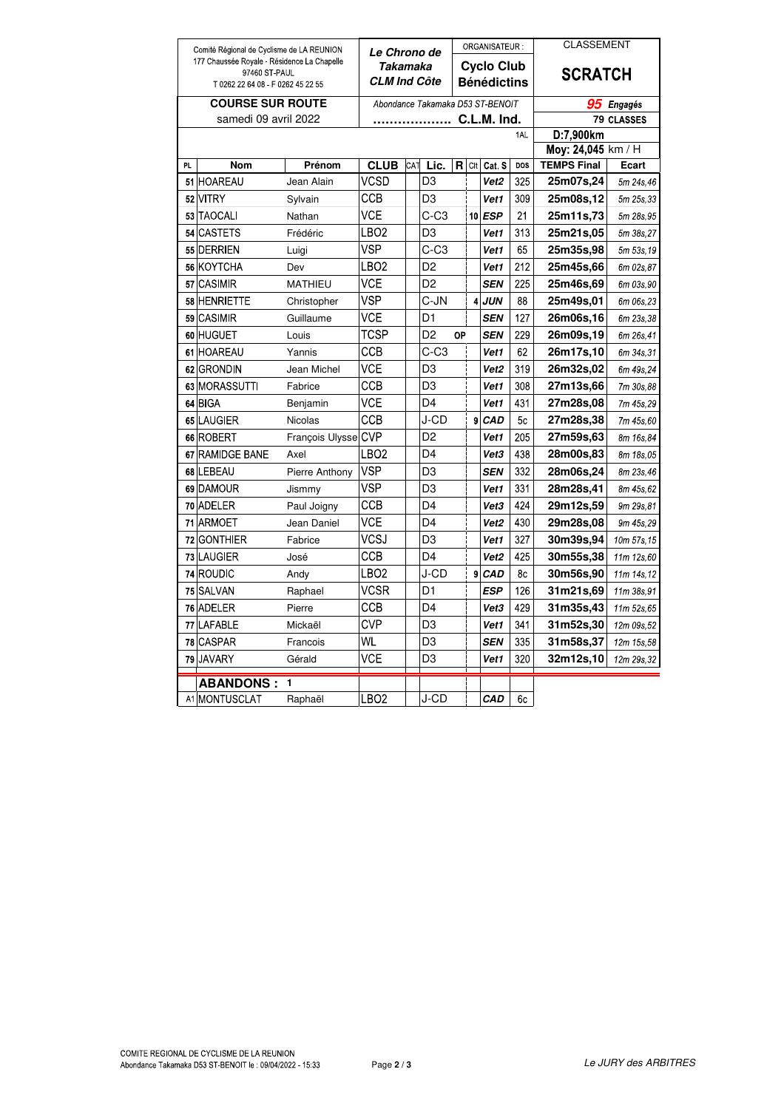| Comité Régional de Cyclisme de LA REUNION<br>177 Chaussée Royale - Résidence La Chapelle<br>97460 ST PAUL |                   | Le Chrono de<br>Takamaka |                                  |     | ORGANISATEUR:<br>Cyclo Club |    |     |                  | <b>CLASSEMENT</b><br><b>SCRATCH</b> |                      |                                 |
|-----------------------------------------------------------------------------------------------------------|-------------------|--------------------------|----------------------------------|-----|-----------------------------|----|-----|------------------|-------------------------------------|----------------------|---------------------------------|
|                                                                                                           |                   |                          |                                  |     |                             |    |     |                  |                                     |                      | T 0262 22 64 08 F 0262 45 22 55 |
| <b>COURSE SUR ROUTE</b>                                                                                   |                   |                          | Abondance Takamaka D53 ST-BENOIT |     |                             |    |     |                  |                                     | 95<br><b>Engagés</b> |                                 |
| samedi 09 avril 2022                                                                                      |                   |                          | C.L.M. Ind.                      |     |                             |    |     |                  |                                     | 79 CLASSES           |                                 |
|                                                                                                           |                   |                          |                                  |     |                             |    |     |                  | 1AL                                 | D:7,900km            |                                 |
|                                                                                                           |                   |                          |                                  |     |                             |    |     |                  |                                     | Moy: 24,045 km / H   |                                 |
| PL                                                                                                        | <b>Nom</b>        | Prénom                   | <b>CLUB</b>                      | CAT | Lic.                        | R  | Cit | Cat. S           | DOS                                 | <b>TEMPS Final</b>   | <b>Ecart</b>                    |
|                                                                                                           | 51 HOAREAU        | Jean Alain               | VCSD                             |     | D3                          |    |     | Vet2             | 325                                 | 25m07s,24            | 5m 24s, 46                      |
|                                                                                                           | 52 VITRY          | Sylvain                  | ССВ                              |     | D3                          |    |     | Vet1             | 309                                 | 25m08s,12            | 5m 25s, 33                      |
|                                                                                                           | 53 TAOCALI        | Nathan                   | VCE                              |     | C-C3                        |    |     | 10 ESP           | 21                                  | 25m11s,73            | 5m 28s, 95                      |
|                                                                                                           | 54 CASTETS        | Frédéric                 | LBO <sub>2</sub>                 |     | D3                          |    |     | Vet1             | 313                                 | 25m21s,05            | 5m 38s.27                       |
|                                                                                                           | 55 DERRIEN        | Luigi                    | <b>VSP</b>                       |     | C-C3                        |    |     | Vet1             | 65                                  | 25m35s,98            | 5m 53s, 19                      |
|                                                                                                           | 56 KOYTCHA        | Dev                      | LBO2                             |     | D2                          |    |     | Vet1             | 212                                 | 25m45s,66            | 6m 02s, 87                      |
| 57                                                                                                        | <b>CASIMIR</b>    | <b>MATHIEU</b>           | <b>VCE</b>                       |     | D <sub>2</sub>              |    |     | <b>SEN</b>       | 225                                 | 25m46s,69            | 6m 03s,90                       |
|                                                                                                           | 58 HENRIETTE      | Christopher              | <b>VSP</b>                       |     | C-JN                        |    | 4   | JUN              | 88                                  | 25m49s,01            | 6m 06s, 23                      |
|                                                                                                           | 59 CASIMIR        | Guillaume                | VCE                              |     | D1                          |    |     | <b>SEN</b>       | 127                                 | 26m06s,16            | 6m 23s, 38                      |
|                                                                                                           | 60 HUGUET         | Louis                    | TCSP                             |     | D2                          | OP |     | <b>SEN</b>       | 229                                 | 26m09s,19            | 6m 26s, 41                      |
|                                                                                                           | 61 HOAREAU        | Yannis                   | CCB                              |     | $C-C3$                      |    |     | Vet1             | 62                                  | 26m17s,10            | 6m 34s, 31                      |
|                                                                                                           | 62 GRONDIN        | Jean Michel              | VCE                              |     | D3                          |    |     | Vet2             | 319                                 | 26m32s,02            | 6m 49s, 24                      |
|                                                                                                           | 63 MORASSUTTI     | Fabrice                  | ССВ                              |     | D3                          |    |     | Vet1             | 308                                 | 27m13s,66            | 7m 30s,88                       |
|                                                                                                           | 64 BIGA           | Benjamin                 | VCE                              |     | D4                          |    |     | Vet1             | 431                                 | 27m28s,08            | 7m 45s, 29                      |
|                                                                                                           | 65 LAUGIER        | Nicolas                  | CCB                              |     | J-CD                        |    | 9   | CAD              | 5 <sub>c</sub>                      | 27m28s,38            | 7m 45s,60                       |
|                                                                                                           | 66 ROBERT         | François Ulysse          | <b>CVP</b>                       |     | D2                          |    |     | Vet1             | 205                                 | 27m59s.63            | 8m 16s, 84                      |
|                                                                                                           | 67 RAMIDGE BANE   | Axel                     | LBO <sub>2</sub>                 |     | D4                          |    |     | Vet3             | 438                                 | 28m00s.83            | 8m 18s,05                       |
|                                                                                                           | 68 LEBEAU         | Pierre Anthony           | VSP                              |     | D3                          |    |     | <b>SEN</b>       | 332                                 | 28m06s,24            | 8m 23s, 46                      |
|                                                                                                           | 69 DAMOUR         | Jismmy                   | VSP                              |     | D3                          |    |     | Vet1             | 331                                 | 28m28s,41            | 8m 45s, 62                      |
|                                                                                                           | 70 ADELER         | Paul Joigny              | ССВ                              |     | D4                          |    |     | Vet3             | 424                                 | 29m12s,59            | 9m 29s, 81                      |
|                                                                                                           | 71 ARMOET         | Jean Daniel              | VCE                              |     | D4                          |    |     | Vet <sub>2</sub> | 430                                 | 29m28s,08            | 9m 45s.29                       |
| 72                                                                                                        | <b>GONTHIER</b>   | Fabrice                  | <b>VCSJ</b>                      |     | D3                          |    |     | Vet1             | 327                                 | 30m39s,94            | 10m 57s, 15                     |
|                                                                                                           | 73 LAUGIER        | José                     | ССВ                              |     | D4                          |    |     | Vet <sub>2</sub> | 425                                 | 30m55s,38            | 11m 12s,60                      |
|                                                                                                           | 74 ROUDIC         | Andy                     | LBO2                             |     | J-CD                        |    | 9   | CAD              | 8c                                  | 30m56s.90            | 11m 14s, 12                     |
|                                                                                                           | 75 SALVAN         | Raphael                  | VCSR                             |     | D1                          |    |     | ESP              | 126                                 | 31m21s,69            | 11m 38s, 91                     |
|                                                                                                           | 76 ADELER         | Pierre                   | ССВ                              |     | D4                          |    |     | Vet3             | 429                                 | 31m35s,43            | 11m 52s, 65                     |
|                                                                                                           | 77 LAFABLE        | Mickaël                  | <b>CVP</b>                       |     | D3                          |    |     | Vet1             | 341                                 | 31m52s,30            | 12m 09s, 52                     |
|                                                                                                           | 78 CASPAR         | Francois                 | WL                               |     | D3                          |    |     | <b>SEN</b>       | 335                                 | 31m58s,37            | 12m 15s, 58                     |
|                                                                                                           | 79 JAVARY         | Gérald                   | <b>VCE</b>                       |     | D <sub>3</sub>              |    |     | Vet1             | 320                                 | 32m12s,10            | 12m 29s, 32                     |
|                                                                                                           | <b>ABANDONS :</b> | 1                        |                                  |     |                             |    |     |                  |                                     |                      |                                 |
|                                                                                                           | A1 MONTUSCLAT     | Raphaël                  | LBO <sub>2</sub>                 |     | J-CD                        |    |     | CAD              | 6c                                  |                      |                                 |